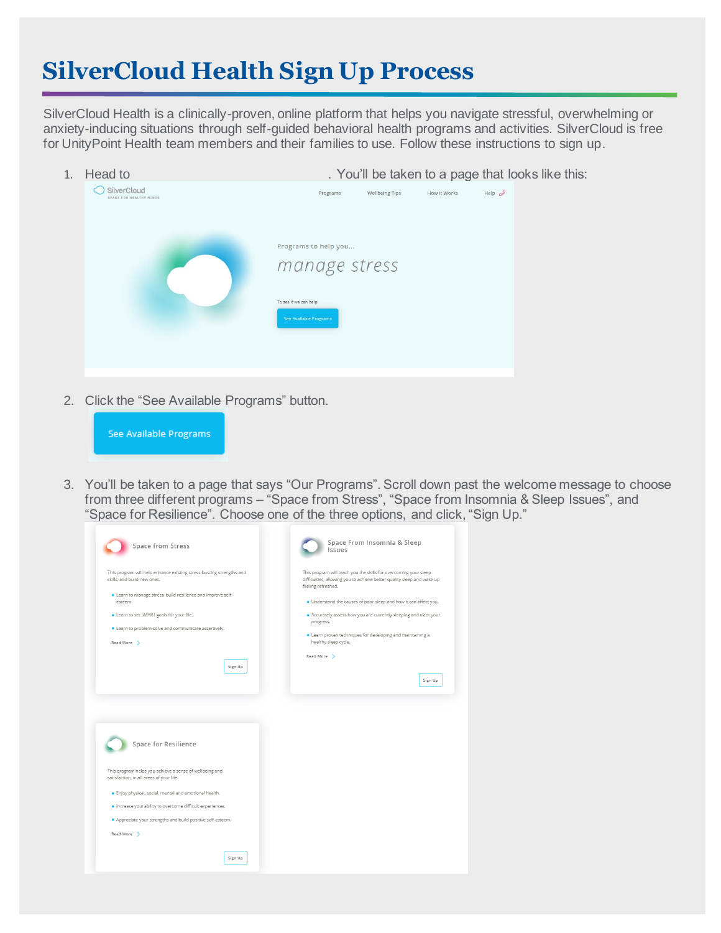## **SilverCloud Health Sign Up Process**

SilverCloud Health is a clinically-proven, online platform that helps you navigate stressful, overwhelming or anxiety-inducing situations through self-guided behavioral health programs and activities. SilverCloud is free for UnityPoint Health team members and their families to use. Follow these instructions to sign up.

| 1. | Head to                                | . You'll be taken to a page that looks like this: |                                                                 |                       |              |                    |  |
|----|----------------------------------------|---------------------------------------------------|-----------------------------------------------------------------|-----------------------|--------------|--------------------|--|
|    | SilverCloud<br>SPACE FOR HEALTHY MINDS |                                                   | Programs                                                        | <b>Wellbeing Tips</b> | How it Works | Help $\mathscr{S}$ |  |
|    |                                        | To see if we can help:                            | Programs to help you<br>manage stress<br>See Available Programs |                       |              |                    |  |

2. Click the "See Available Programs" button.



3. You'll be taken to a page that says "Our Programs". Scroll down past the welcome message to choose from three different programs – "Space from Stress", "Space from Insomnia & Sleep Issues", and "Space for Resilience". Choose one of the three options, and click, "Sign Up."